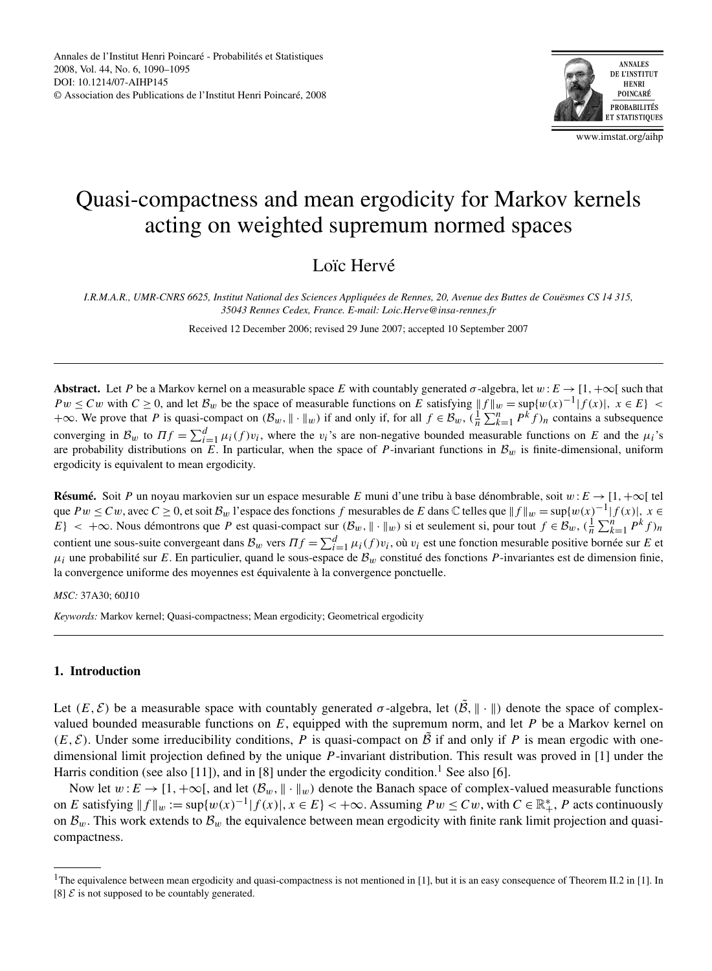

www.imstat.org/aihp

# Quasi-compactness and mean ergodicity for Markov kernels acting on weighted supremum normed spaces

## Loïc Hervé

*I.R.M.A.R., UMR-CNRS 6625, Institut National des Sciences Appliquées de Rennes, 20, Avenue des Buttes de Couësmes CS 14 315, 35043 Rennes Cedex, France. E-mail: Loic.Herve@insa-rennes.fr*

Received 12 December 2006; revised 29 June 2007; accepted 10 September 2007

**Abstract.** Let *P* be a Markov kernel on a measurable space *E* with countably generated  $\sigma$ -algebra, let  $w : E \to [1, +\infty[$  such that *Pw* ≤ *Cw* with  $C \ge 0$ , and let  $B_w$  be the space of measurable functions on *E* satisfying  $||f||_w = \sup\{w(x)^{-1} |f(x)|, x \in E\}$  $+\infty$ . We prove that *P* is quasi-compact on  $(B_w, \|\cdot\|_w)$  if and only if, for all  $f \in B_w$ ,  $(\frac{1}{n}\sum_{k=1}^n P^k f)_n$  contains a subsequence converging in  $B_w$  to  $\Pi f = \sum_{i=1}^d \mu_i(f) v_i$ , where the  $v_i$ 's are non-negative bounded measurable functions on *E* and the  $\mu_i$ 's are probability distributions on *E*. In particular, when the space of *P*-invariant functions in  $B_w$  is finite-dimensional, uniform ergodicity is equivalent to mean ergodicity.

**Résumé.** Soit *P* un noyau markovien sur un espace mesurable *E* muni d'une tribu à base dénombrable, soit *w* :*E* → [1*,*+∞[ tel que  $Pw \le Cw$ , avec  $C \ge 0$ , et soit  $\mathcal{B}_w$  l'espace des fonctions  $f$  mesurables de  $E$  dans  $\mathbb C$  telles que  $||f||_w = \sup\{w(x)^{-1} |f(x)|, x \in$  $E$ } < +∞. Nous démontrons que *P* est quasi-compact sur  $(B_w, \|\cdot\|_w)$  si et seulement si, pour tout  $f \in B_w$ ,  $(\frac{1}{n} \sum_{k=1}^n P^k f)_n$ contient une sous-suite convergeant dans  $B_w$  vers  $\Pi f = \sum_{i=1}^d \mu_i(f)v_i$ , où  $v_i$  est une fonction mesurable positive bornée sur *E* et  $μ<sub>i</sub>$  une probabilité sur *E*. En particulier, quand le sous-espace de  $B<sub>w</sub>$  constitué des fonctions *P*-invariantes est de dimension finie, la convergence uniforme des moyennes est équivalente à la convergence ponctuelle.

*MSC:* 37A30; 60J10

*Keywords:* Markov kernel; Quasi-compactness; Mean ergodicity; Geometrical ergodicity

## **1. Introduction**

Let  $(E, \mathcal{E})$  be a measurable space with countably generated  $\sigma$ -algebra, let  $(\tilde{\mathcal{B}}, \| \cdot \|)$  denote the space of complexvalued bounded measurable functions on *E*, equipped with the supremum norm, and let *P* be a Markov kernel on  $(E, \mathcal{E})$ . Under some irreducibility conditions, *P* is quasi-compact on  $\tilde{\mathcal{B}}$  if and only if *P* is mean ergodic with onedimensional limit projection defined by the unique *P* -invariant distribution. This result was proved in [1] under the Harris condition (see also [11]), and in [8] under the ergodicity condition.<sup>1</sup> See also [6].

Now let  $w: E \to [1, +\infty[$ , and let  $(\mathcal{B}_w, \|\cdot\|_w)$  denote the Banach space of complex-valued measurable functions on *E* satisfying  $||f||_w := \sup\{w(x)^{-1}|f(x)|, x \in E\}$  < +∞. Assuming  $Pw \le Cw$ , with  $C \in \mathbb{R}^*_+$ , *P* acts continuously on  $B_w$ . This work extends to  $B_w$  the equivalence between mean ergodicity with finite rank limit projection and quasicompactness.

<sup>&</sup>lt;sup>1</sup>The equivalence between mean ergodicity and quasi-compactness is not mentioned in [1], but it is an easy consequence of Theorem II.2 in [1]. In [8]  $\mathcal{E}$  is not supposed to be countably generated.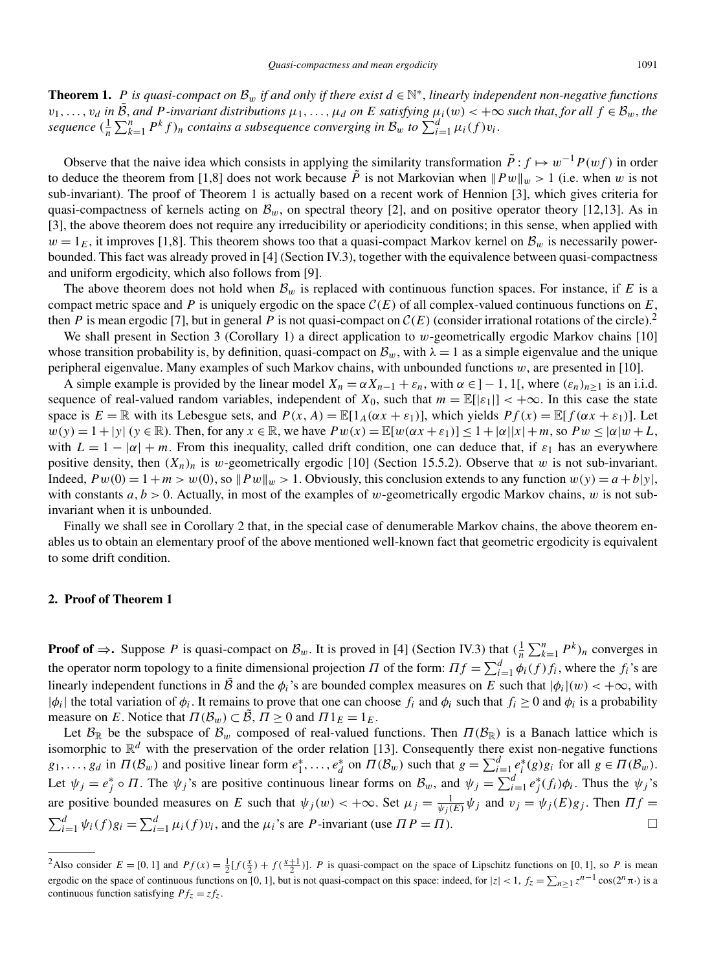**Theorem 1.** *P is quasi-compact on*  $\mathcal{B}_w$  *if and only if there exist*  $d \in \mathbb{N}^*$ , *linearly independent non-negative functions*  $v_1,\ldots,v_d$  in  $\hat{\mathcal{B}}$ , and P-invariant distributions  $\mu_1,\ldots,\mu_d$  on E satisfying  $\mu_i(w)$  <  $+\infty$  such that, for all  $f \in \mathcal{B}_w$ , the  $a$  *sequence*  $(\frac{1}{n}\sum_{k=1}^{n} P^{k} f)$ <sub>n</sub> contains a subsequence converging in  $B_{w}$  to  $\sum_{i=1}^{d} \mu_{i}(f) v_{i}$ .

Observe that the naive idea which consists in applying the similarity transformation  $\tilde{P}$  :  $f \mapsto w^{-1}P(wf)$  in order to deduce the theorem from [1,8] does not work because  $\tilde{P}$  is not Markovian when  $||Pw||_w > 1$  (i.e. when *w* is not sub-invariant). The proof of Theorem 1 is actually based on a recent work of Hennion [3], which gives criteria for quasi-compactness of kernels acting on  $B_w$ , on spectral theory [2], and on positive operator theory [12,13]. As in [3], the above theorem does not require any irreducibility or aperiodicity conditions; in this sense, when applied with  $w = 1_E$ , it improves [1,8]. This theorem shows too that a quasi-compact Markov kernel on  $B_w$  is necessarily powerbounded. This fact was already proved in [4] (Section IV.3), together with the equivalence between quasi-compactness and uniform ergodicity, which also follows from [9].

The above theorem does not hold when  $B_w$  is replaced with continuous function spaces. For instance, if  $E$  is a compact metric space and *P* is uniquely ergodic on the space  $C(E)$  of all complex-valued continuous functions on *E*, then *P* is mean ergodic [7], but in general *P* is not quasi-compact on  $C(E)$  (consider irrational rotations of the circle).<sup>2</sup>

We shall present in Section 3 (Corollary 1) a direct application to *w*-geometrically ergodic Markov chains [10] whose transition probability is, by definition, quasi-compact on  $B_w$ , with  $\lambda = 1$  as a simple eigenvalue and the unique peripheral eigenvalue. Many examples of such Markov chains, with unbounded functions *w*, are presented in [10].

A simple example is provided by the linear model  $X_n = \alpha X_{n-1} + \varepsilon_n$ , with  $\alpha \in ]-1, 1[$ , where  $(\varepsilon_n)_{n>1}$  is an i.i.d. sequence of real-valued random variables, independent of  $X_0$ , such that  $m = \mathbb{E}[\epsilon_1] < +\infty$ . In this case the state space is  $E = \mathbb{R}$  with its Lebesgue sets, and  $P(x, A) = \mathbb{E}[1_A(\alpha x + \varepsilon_1)],$  which yields  $Pf(x) = \mathbb{E}[f(\alpha x + \varepsilon_1)].$  Let  $w(y) = 1 + |y|$  ( $y \in \mathbb{R}$ ). Then, for any  $x \in \mathbb{R}$ , we have  $Pw(x) = \mathbb{E}[w(\alpha x + \varepsilon_1)] < 1 + |\alpha||x| + m$ , so  $Pw < |\alpha|w + L$ , with  $L = 1 - |\alpha| + m$ . From this inequality, called drift condition, one can deduce that, if  $\varepsilon_1$  has an everywhere positive density, then  $(X_n)_n$  is *w*-geometrically ergodic [10] (Section 15.5.2). Observe that *w* is not sub-invariant. Indeed,  $Pw(0) = 1 + m > w(0)$ , so  $Pw||_w > 1$ . Obviously, this conclusion extends to any function  $w(y) = a + b|y|$ , with constants *a*, *b* > 0. Actually, in most of the examples of *w*-geometrically ergodic Markov chains, *w* is not subinvariant when it is unbounded.

Finally we shall see in Corollary 2 that, in the special case of denumerable Markov chains, the above theorem enables us to obtain an elementary proof of the above mentioned well-known fact that geometric ergodicity is equivalent to some drift condition.

## **2. Proof of Theorem 1**

**Proof of**  $\Rightarrow$  **Suppose** *P* is quasi-compact on  $\mathcal{B}_w$ . It is proved in [4] (Section IV.3) that  $(\frac{1}{n}\sum_{k=1}^n P^k)_n$  converges in the operator norm topology to a finite dimensional projection *Π* of the form:  $\Pi f = \sum_{i=1}^{d} \phi_i(f) f_i$ , where the  $f_i$ 's are linearly independent functions in  $\tilde{B}$  and the  $\phi_i$ 's are bounded complex measures on *E* such that  $|\phi_i|(w) < +\infty$ , with  $|\phi_i|$  the total variation of  $\phi_i$ . It remains to prove that one can choose  $f_i$  and  $\phi_i$  such that  $f_i \geq 0$  and  $\phi_i$  is a probability measure on *E*. Notice that  $\Pi(\mathcal{B}_w) \subset \tilde{\mathcal{B}}, \Pi \ge 0$  and  $\Pi_1^E = 1_E$ .

Let  $B_{\mathbb{R}}$  be the subspace of  $B_w$  composed of real-valued functions. Then  $\Pi(B_{\mathbb{R}})$  is a Banach lattice which is isomorphic to  $\mathbb{R}^d$  with the preservation of the order relation [13]. Consequently there exist non-negative functions  $g_1, \ldots, g_d$  in  $\Pi(\mathcal{B}_w)$  and positive linear form  $e_1^*, \ldots, e_d^*$  on  $\Pi(\mathcal{B}_w)$  such that  $g = \sum_{i=1}^d e_i^*(g)g_i$  for all  $g \in \Pi(\mathcal{B}_w)$ . Let  $\psi_j = e_j^* \circ \Pi$ . The  $\psi_j$ 's are positive continuous linear forms on  $\mathcal{B}_w$ , and  $\psi_j = \sum_{i=1}^d e_j^*(f_i)\phi_i$ . Thus the  $\psi_j$ 's are positive bounded measures on *E* such that  $\psi_j(w) < +\infty$ . Set  $\mu_j = \frac{1}{\psi_j(E)} \psi_j$  and  $v_j = \psi_j(E)g_j$ . Then  $\Pi f =$  $\sum_{i=1}^d \psi_i(f)g_i = \sum_{i=1}^d \mu_i(f)v_i$ , and the  $\mu_i$ 's are *P*-invariant (use  $\Pi P = \Pi$ ).

<sup>&</sup>lt;sup>2</sup>Also consider  $E = [0, 1]$  and  $Pf(x) = \frac{1}{2} [f(\frac{x}{2}) + f(\frac{x+1}{2})]$ . *P* is quasi-compact on the space of Lipschitz functions on [0, 1], so *P* is mean ergodic on the space of continuous functions on [0, 1], but is not quasi-compact on this space: indeed, for  $|z| < 1$ ,  $f_z = \sum_{n \ge 1} z^{n-1} \cos(2^n \pi \cdot)$  is a continuous function satisfying  $Pf_z = zf_z$ .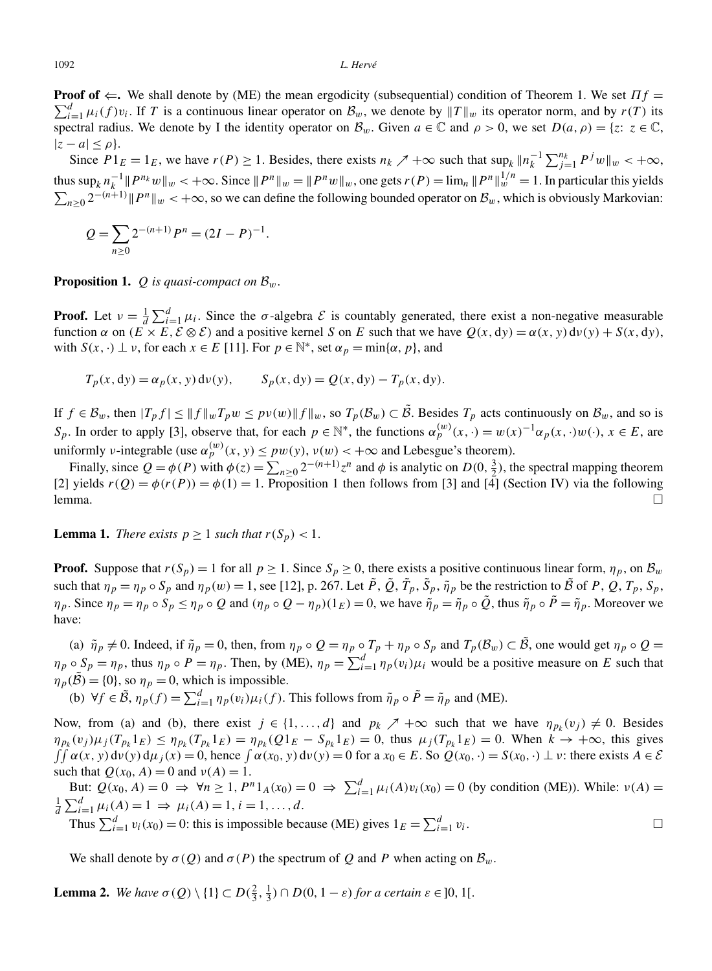#### 1092 *L. Hervé*

 $\sum_{i=1}^{d} \mu_i(f) v_i$ . If *T* is a continuous linear operator on  $\mathcal{B}_w$ , we denote by  $||T||_w$  its operator norm, and by  $r(T)$  its **Proof of**  $\Leftarrow$ . We shall denote by (ME) the mean ergodicity (subsequential) condition of Theorem 1. We set *Πf* = spectral radius. We denote by I the identity operator on  $\mathcal{B}_w$ . Given  $a \in \mathbb{C}$  and  $\rho > 0$ , we set  $D(a, \rho) = \{z : z \in \mathbb{C},$  $|z - a| \leq \rho$ .

Since  $P1_E = 1_E$ , we have  $r(P) \ge 1$ . Besides, there exists  $n_k \nearrow +\infty$  such that  $\sup_k ||n_k^{-1} \sum_{j=1}^{n_k} P^j w||_w < +\infty$ , thus  $\sup_k n_k^{-1}$   $\|P^{n_k}w\|_{w}$   $\leq +\infty$ . Since  $\|P^n\|_{w} = \|P^n w\|_{w}$ , one gets  $r(P) = \lim_n \|P^n\|_{w}^{1/n} = 1$ . In particular this yields  $\sum_{n\geq 0} 2^{-(n+1)}$  *|| P<sup>n</sup>* ||*w* < +∞, so we can define the following bounded operator on  $\mathcal{B}_w$ , which is obviously Markovian:

$$
Q = \sum_{n\geq 0} 2^{-(n+1)} P^n = (2I - P)^{-1}.
$$

**Proposition 1.** *Q is quasi-compact on*  $\mathcal{B}_w$ .

**Proof.** Let  $v = \frac{1}{d} \sum_{i=1}^{d} \mu_i$ . Since the *σ*-algebra *E* is countably generated, there exist a non-negative measurable function  $\alpha$  on  $(E \times E, \mathcal{E} \otimes \mathcal{E})$  and a positive kernel *S* on *E* such that we have  $Q(x, dy) = \alpha(x, y) d\nu(y) + S(x, dy)$ , with  $S(x, \cdot) \perp \nu$ , for each  $x \in E$  [11]. For  $p \in \mathbb{N}^*$ , set  $\alpha_p = \min\{\alpha, p\}$ , and

$$
T_p(x, dy) = \alpha_p(x, y) d\nu(y), \qquad S_p(x, dy) = Q(x, dy) - T_p(x, dy).
$$

If  $f \in \mathcal{B}_w$ , then  $|T_p f| \le ||f||_w T_p w \le pv(w)||f||_w$ , so  $T_p(\mathcal{B}_w) \subset \tilde{\mathcal{B}}$ . Besides  $T_p$  acts continuously on  $\mathcal{B}_w$ , and so is *S<sub>p</sub>*. In order to apply [3], observe that, for each  $p \in \mathbb{N}^*$ , the functions  $\alpha_p^{(w)}(x, \cdot) = w(x)^{-1} \alpha_p(x, \cdot) w(\cdot), x \in E$ , are uniformly *ν*-integrable (use  $\alpha_p^{(w)}(x, y) \le pw(y)$ ,  $\nu(w) < +\infty$  and Lebesgue's theorem).

Finally, since  $Q = \phi(P)$  with  $\phi(z) = \sum_{n \ge 0} 2^{-(n+1)} z^n$  and  $\phi$  is analytic on  $D(0, \frac{3}{2})$ , the spectral mapping theorem [2] yields  $r(Q) = \phi(r(P)) = \phi(1) = 1$ . Proposition 1 then follows from [3] and [4] (Section IV) via the following lemma.  $\Box$ 

**Lemma 1.** *There exists*  $p \geq 1$  *such that*  $r(S_p) < 1$ .

**Proof.** Suppose that  $r(S_p) = 1$  for all  $p \ge 1$ . Since  $S_p \ge 0$ , there exists a positive continuous linear form,  $\eta_p$ , on  $\mathcal{B}_w$ such that  $\eta_p = \eta_p \circ S_p$  and  $\eta_p(w) = 1$ , see [12], p. 267. Let  $\tilde{P}$ ,  $\tilde{Q}$ ,  $\tilde{T}_p$ ,  $\tilde{S}_p$ ,  $\tilde{\eta}_p$  be the restriction to  $\tilde{B}$  of P, Q,  $T_p$ ,  $S_p$ ,  $\eta_p$ . Since  $\eta_p = \eta_p \circ S_p \le \eta_p \circ Q$  and  $(\eta_p \circ Q - \eta_p)(1_E) = 0$ , we have  $\tilde{\eta}_p = \tilde{\eta}_p \circ \tilde{Q}$ , thus  $\tilde{\eta}_p \circ \tilde{P} = \tilde{\eta}_p$ . Moreover we have:

(a)  $\tilde{\eta}_p \neq 0$ . Indeed, if  $\tilde{\eta}_p = 0$ , then, from  $\eta_p \circ Q = \eta_p \circ T_p + \eta_p \circ S_p$  and  $T_p(\mathcal{B}_w) \subset \tilde{\mathcal{B}}$ , one would get  $\eta_p \circ Q =$  $\eta_p \circ S_p = \eta_p$ , thus  $\eta_p \circ P = \eta_p$ . Then, by (ME),  $\eta_p = \sum_{i=1}^d \eta_p(v_i) \mu_i$  would be a positive measure on *E* such that  $\eta_p(\tilde{\beta}) = \{0\}$ , so  $\eta_p = 0$ , which is impossible.

(b)  $\forall f \in \tilde{\mathcal{B}}, \eta_p(f) = \sum_{i=1}^d \eta_p(v_i) \mu_i(f)$ . This follows from  $\tilde{\eta}_p \circ \tilde{P} = \tilde{\eta}_p$  and (ME).

Now, from (a) and (b), there exist  $j \in \{1, ..., d\}$  and  $p_k \nearrow +\infty$  such that we have  $\eta_{p_k}(v_j) \neq 0$ . Besides  $\eta_{p_k}(v_j) \mu_j(T_{p_k}1_E) \leq \eta_{p_k}(T_{p_k}1_E) = \eta_{p_k}(Q1_E - S_{p_k}1_E) = 0$ , thus  $\mu_j(T_{p_k}1_E) = 0$ . When  $k \to +\infty$ , this gives  $\int \int \alpha(x, y) d\nu(y) d\mu_j(x) = 0$ , hence  $\int \alpha(x_0, y) d\nu(y) = 0$  for  $a x_0 \in E$ . So  $Q(x_0, \cdot) = S(x_0, \cdot) \perp \nu$ : there exists  $A \in \mathcal{E}$ such that  $Q(x_0, A) = 0$  and  $v(A) = 1$ .

But:  $Q(x_0, A) = 0 \implies \forall n \ge 1, P^n 1_A(x_0) = 0 \implies \sum_{i=1}^d \mu_i(A)v_i(x_0) = 0$  (by condition (ME)). While:  $v(A) = \frac{1}{2} \sum_{i=1}^d u_i(A)v_i(x_0) = 0$  (by condition (ME)). While:  $v(A) = \frac{1}{2} \sum_{i=1}^d u_i(A)v_i(x_0) = 0$  $\frac{1}{d} \sum_{i=1}^{d} \mu_i(A) = 1 \Rightarrow \mu_i(A) = 1, i = 1, ..., d.$ 

Thus  $\sum_{i=1}^{d} v_i(x_0) = 0$ : this is impossible because (ME) gives  $1_E = \sum_{i=1}^{d} v_i$ .

We shall denote by  $\sigma(Q)$  and  $\sigma(P)$  the spectrum of Q and P when acting on  $\mathcal{B}_w$ .

**Lemma 2.** *We have*  $\sigma(Q) \setminus \{1\} \subset D(\frac{2}{3}, \frac{1}{3}) \cap D(0, 1 - \varepsilon)$  *for a certain*  $\varepsilon \in ]0, 1[$ *.* 

 $\Box$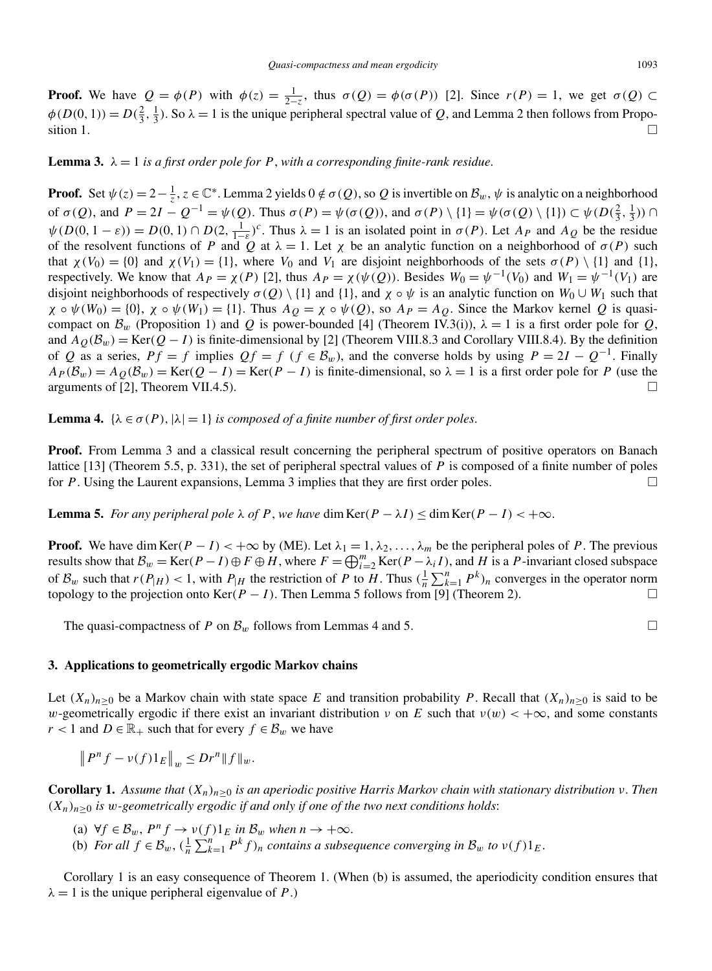**Proof.** We have  $Q = \phi(P)$  with  $\phi(z) = \frac{1}{2-z}$ , thus  $\sigma(Q) = \phi(\sigma(P))$  [2]. Since  $r(P) = 1$ , we get  $\sigma(Q) \subset$  $\phi(D(0, 1)) = D(\frac{2}{3}, \frac{1}{3})$ . So  $\lambda = 1$  is the unique peripheral spectral value of *Q*, and Lemma 2 then follows from Proposition 1.  $\Box$ 

**Lemma 3.**  $\lambda = 1$  *is a first order pole for P*, with a corresponding finite-rank residue.

**Proof.** Set  $\psi(z) = 2 - \frac{1}{z}$ ,  $z \in \mathbb{C}^*$ . Lemma 2 yields  $0 \notin \sigma(Q)$ , so Q is invertible on  $\mathcal{B}_w$ ,  $\psi$  is analytic on a neighborhood of  $\sigma(Q)$ , and  $P = 2I - Q^{-1} = \psi(Q)$ . Thus  $\sigma(P) = \psi(\sigma(Q))$ , and  $\sigma(P) \setminus \{1\} = \psi(\sigma(Q) \setminus \{1\}) \subset \psi(D(\frac{2}{3}, \frac{1}{3}))$  $\psi(D(0, 1 - \varepsilon)) = D(0, 1) \cap D(2, \frac{1}{1-\varepsilon})^c$ . Thus  $\lambda = 1$  is an isolated point in  $\sigma(P)$ . Let  $A_P$  and  $A_Q$  be the residue of the resolvent functions of *P* and *Q* at  $\lambda = 1$ . Let  $\chi$  be an analytic function on a neighborhood of  $\sigma(P)$  such that  $\chi(V_0) = \{0\}$  and  $\chi(V_1) = \{1\}$ , where  $V_0$  and  $V_1$  are disjoint neighborhoods of the sets  $\sigma(P) \setminus \{1\}$  and  $\{1\}$ , respectively. We know that  $A_P = \chi(P)$  [2], thus  $A_P = \chi(\psi(Q))$ . Besides  $W_0 = \psi^{-1}(V_0)$  and  $W_1 = \psi^{-1}(V_1)$  are disjoint neighborhoods of respectively  $\sigma(Q) \setminus \{1\}$  and  $\{1\}$ , and  $\chi \circ \psi$  is an analytic function on  $W_0 \cup W_1$  such that  $\chi \circ \psi(W_0) = \{0\}, \ \chi \circ \psi(W_1) = \{1\}.$  Thus  $A_O = \chi \circ \psi(Q)$ , so  $A_P = A_O$ . Since the Markov kernel *Q* is quasicompact on  $\mathcal{B}_w$  (Proposition 1) and *Q* is power-bounded [4] (Theorem IV.3(i)),  $\lambda = 1$  is a first order pole for *Q*, and  $A_O(\mathcal{B}_w)$  = Ker $(Q - I)$  is finite-dimensional by [2] (Theorem VIII.8.3 and Corollary VIII.8.4). By the definition of *Q* as a series,  $Pf = f$  implies  $Qf = f$  ( $f \in B_w$ ), and the converse holds by using  $P = 2I - Q^{-1}$ . Finally  $A_P(\mathcal{B}_w) = A_O(\mathcal{B}_w) = \text{Ker}(Q - I) = \text{Ker}(P - I)$  is finite-dimensional, so  $\lambda = 1$  is a first order pole for *P* (use the arguments of  $[2]$ , Theorem VII.4.5).  $\Box$ 

**Lemma 4.** { $\lambda \in \sigma(P)$ ,  $|\lambda| = 1$ } *is composed of a finite number of first order poles.* 

**Proof.** From Lemma 3 and a classical result concerning the peripheral spectrum of positive operators on Banach lattice [13] (Theorem 5.5, p. 331), the set of peripheral spectral values of *P* is composed of a finite number of poles for *P*. Using the Laurent expansions, Lemma 3 implies that they are first order poles.  $\Box$ 

**Lemma 5.** *For any peripheral pole*  $\lambda$  *of P*, *we have* dim Ker $(P - \lambda I) \leq \dim \text{Ker}(P - I) < +\infty$ .

**Proof.** We have dim Ker $(P - I) < +\infty$  by (ME). Let  $\lambda_1 = 1, \lambda_2, \ldots, \lambda_m$  be the peripheral poles of *P*. The previous results show that  $B_w = \text{Ker}(P - I) \oplus F \oplus H$ , where  $F = \bigoplus_{i=2}^m \text{Ker}(P - \lambda_i I)$ , and *H* is a *P*-invariant closed subspace of  $B_w$  such that  $r(P|_H) < 1$ , with  $P|_H$  the restriction of P to H. Thus  $(\frac{1}{n} \sum_{k=1}^n P^k)_n$  converges in the operator norm topology to the projection onto Ker $(P - I)$ . Then Lemma 5 follows from [9] (Theorem 2).

The quasi-compactness of *P* on  $\mathcal{B}_w$  follows from Lemmas 4 and 5.

## **3. Applications to geometrically ergodic Markov chains**

Let  $(X_n)_{n\geq 0}$  be a Markov chain with state space *E* and transition probability *P*. Recall that  $(X_n)_{n\geq 0}$  is said to be *w*-geometrically ergodic if there exist an invariant distribution *ν* on *E* such that  $v(w) < +\infty$ , and some constants *r* < 1 and *D* ∈  $\mathbb{R}_+$  such that for every *f* ∈  $\mathcal{B}_w$  we have

$$
\left\|P^{n}f-\nu(f)1_{E}\right\|_{w}\leq Dr^{n}\|f\|_{w}.
$$

**Corollary 1.** *Assume that*  $(X_n)_{n\geq 0}$  *is an aperiodic positive Harris Markov chain with stationary distribution ν*. *Then*  $(X_n)_{n>0}$  *is w-geometrically ergodic if and only if one of the two next conditions holds*:

(a)  $\forall f \in \mathcal{B}_w$ ,  $P^n f \rightarrow v(f)1_E$  *in*  $\mathcal{B}_w$  *when*  $n \rightarrow +\infty$ . (b) *For all*  $f \in \mathcal{B}_w$ ,  $(\frac{1}{n} \sum_{k=1}^n P^k f)_n$  *contains a subsequence converging in*  $\mathcal{B}_w$  *to*  $v(f)1_E$ .

Corollary 1 is an easy consequence of Theorem 1. (When (b) is assumed, the aperiodicity condition ensures that  $\lambda = 1$  is the unique peripheral eigenvalue of *P*.)

 $\Box$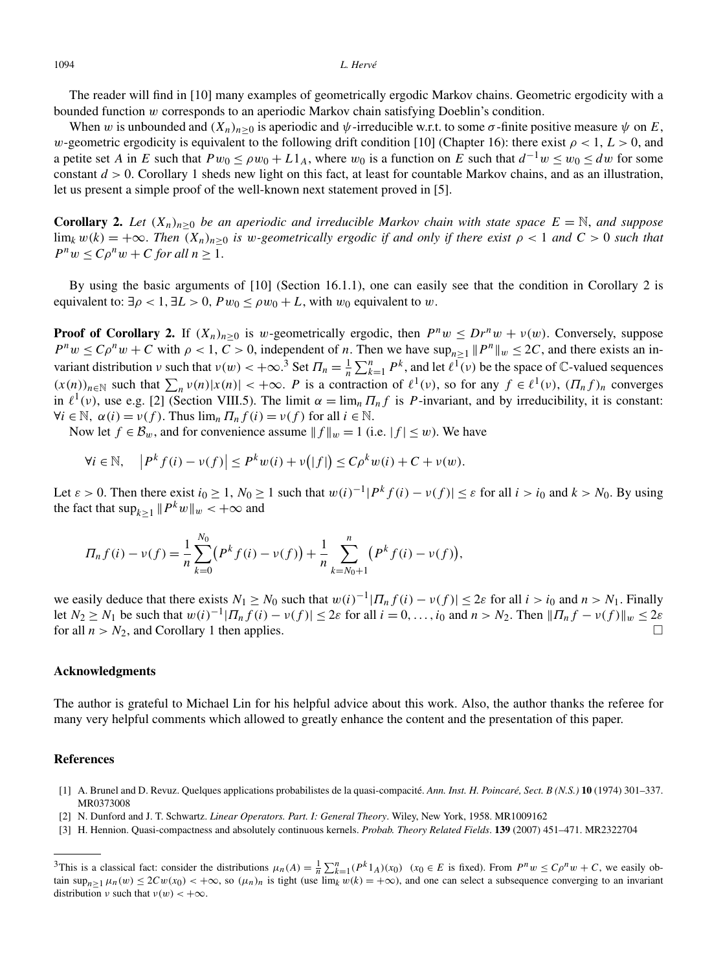The reader will find in [10] many examples of geometrically ergodic Markov chains. Geometric ergodicity with a bounded function *w* corresponds to an aperiodic Markov chain satisfying Doeblin's condition.

When *w* is unbounded and  $(X_n)_{n>0}$  is aperiodic and  $\psi$ -irreducible w.r.t. to some  $\sigma$ -finite positive measure  $\psi$  on *E*, *w*-geometric ergodicity is equivalent to the following drift condition [10] (Chapter 16): there exist  $\rho < 1$ ,  $L > 0$ , and a petite set *A* in *E* such that  $Pw_0 \leq \rho w_0 + L1_A$ , where  $w_0$  is a function on *E* such that  $d^{-1}w \leq w_0 \leq dw$  for some constant *d >* 0. Corollary 1 sheds new light on this fact, at least for countable Markov chains, and as an illustration, let us present a simple proof of the well-known next statement proved in [5].

**Corollary 2.** Let  $(X_n)_{n>0}$  be an aperiodic and irreducible Markov chain with state space  $E = \mathbb{N}$ , and suppose  $\lim_k w(k) = +\infty$ . *Then*  $(X_n)_{n>0}$  *is w*-geometrically ergodic if and only if there exist  $\rho < 1$  and  $C > 0$  such that  $P^n w \le C \rho^n w + C$  *for all*  $n \ge 1$ .

By using the basic arguments of [10] (Section 16.1.1), one can easily see that the condition in Corollary 2 is equivalent to:  $\exists \rho < 1, \exists L > 0, P w_0 \leq \rho w_0 + L$ , with  $w_0$  equivalent to  $w$ .

**Proof of Corollary 2.** If  $(X_n)_{n>0}$  is w-geometrically ergodic, then  $P^n w \leq Dr^n w + v(w)$ . Conversely, suppose  $P^n w \le C \rho^n w + C$  with  $\rho < 1$ ,  $C > 0$ , independent of *n*. Then we have  $\sup_{n \ge 1} ||P^n||_w \le 2C$ , and there exists an invariant distribution *ν* such that  $\nu(w) < +\infty$ .<sup>3</sup> Set  $\Pi_n = \frac{1}{n} \sum_{k=1}^n P^k$ , and let  $\ell^1(v)$  be the space of C-valued sequences  $(x(n))_{n\in\mathbb{N}}$  such that  $\sum_{n} v(n)|x(n)| < +\infty$ . *P* is a contraction of  $\ell^1(v)$ , so for any  $f \in \ell^1(v)$ ,  $(\Pi_n f)_n$  converges in  $\ell^1(v)$ , use e.g. [2] (Section VIII.5). The limit  $\alpha = \lim_n \prod_n f$  is *P*-invariant, and by irreducibility, it is constant:  $\forall i \in \mathbb{N}, \alpha(i) = \nu(f)$ . Thus  $\lim_{n} \prod_{n} f(i) = \nu(f)$  for all  $i \in \mathbb{N}$ .

Now let  $f \in \mathcal{B}_w$ , and for convenience assume  $||f||_w = 1$  (i.e.  $|f| \leq w$ ). We have

$$
\forall i \in \mathbb{N}, \quad \left| P^k f(i) - \nu(f) \right| \le P^k w(i) + \nu(|f|) \le C \rho^k w(i) + C + \nu(w).
$$

Let  $\varepsilon > 0$ . Then there exist  $i_0 \ge 1$ ,  $N_0 \ge 1$  such that  $w(i)^{-1} |P^k f(i) - v(f)| \le \varepsilon$  for all  $i > i_0$  and  $k > N_0$ . By using the fact that  $\sup_{k>1} ||P^k w||_w < +\infty$  and

$$
\Pi_n f(i) - \nu(f) = \frac{1}{n} \sum_{k=0}^{N_0} (P^k f(i) - \nu(f)) + \frac{1}{n} \sum_{k=N_0+1}^n (P^k f(i) - \nu(f)),
$$

we easily deduce that there exists  $N_1 \ge N_0$  such that  $w(i)^{-1} |T_n f(i) - v(f)| \le 2\varepsilon$  for all  $i > i_0$  and  $n > N_1$ . Finally let  $N_2 \ge N_1$  be such that  $w(i)^{-1} |T_n f(i) - v(f)| \le 2\varepsilon$  for all  $i = 0, ..., i_0$  and  $n > N_2$ . Then  $||T_n f - v(f)||_w \le 2\varepsilon$ for all  $n > N_2$ , and Corollary 1 then applies.  $\Box$ 

## **Acknowledgments**

The author is grateful to Michael Lin for his helpful advice about this work. Also, the author thanks the referee for many very helpful comments which allowed to greatly enhance the content and the presentation of this paper.

### **References**

- [1] A. Brunel and D. Revuz. Quelques applications probabilistes de la quasi-compacité. *Ann. Inst. H. Poincaré, Sect. B (N.S.)* **10** (1974) 301–337. MR0373008
- [2] N. Dunford and J. T. Schwartz. *Linear Operators. Part. I: General Theory*. Wiley, New York, 1958. MR1009162
- [3] H. Hennion. Quasi-compactness and absolutely continuous kernels. *Probab. Theory Related Fields*. **139** (2007) 451–471. MR2322704

<sup>&</sup>lt;sup>3</sup>This is a classical fact: consider the distributions  $\mu_n(A) = \frac{1}{n} \sum_{k=1}^n (P^k 1_A)(x_0)$  ( $x_0 \in E$  is fixed). From  $P^n w \le C \rho^n w + C$ , we easily obtain  $\sup_{n>1} \mu_n(w) \leq 2Cw(x_0) < +\infty$ , so  $(\mu_n)_n$  is tight (use  $\lim_k w(k) = +\infty$ ), and one can select a subsequence converging to an invariant distribution *ν* such that  $v(w) < +\infty$ .